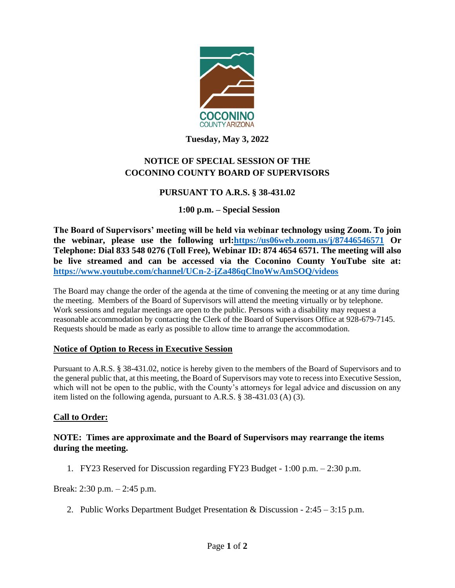

**Tuesday, May 3, 2022**

# **NOTICE OF SPECIAL SESSION OF THE COCONINO COUNTY BOARD OF SUPERVISORS**

# **PURSUANT TO A.R.S. § 38-431.02**

# **1:00 p.m. – Special Session**

**The Board of Supervisors' meeting will be held via webinar technology using Zoom. To join the webinar, please use the following url[:https://us06web.zoom.us/j/87446546571](https://us06web.zoom.us/j/87446546571) Or Telephone: Dial 833 548 0276 (Toll Free), Webinar ID: 874 4654 6571. The meeting will also be live streamed and can be accessed via the Coconino County YouTube site at: <https://www.youtube.com/channel/UCn-2-jZa486qClnoWwAmSOQ/videos>**

The Board may change the order of the agenda at the time of convening the meeting or at any time during the meeting. Members of the Board of Supervisors will attend the meeting virtually or by telephone. Work sessions and regular meetings are open to the public. Persons with a disability may request a reasonable accommodation by contacting the Clerk of the Board of Supervisors Office at 928-679-7145. Requests should be made as early as possible to allow time to arrange the accommodation.

### **Notice of Option to Recess in Executive Session**

Pursuant to A.R.S. § 38-431.02, notice is hereby given to the members of the Board of Supervisors and to the general public that, at this meeting, the Board of Supervisors may vote to recess into Executive Session, which will not be open to the public, with the County's attorneys for legal advice and discussion on any item listed on the following agenda, pursuant to A.R.S. § 38-431.03 (A) (3).

### **Call to Order:**

#### **NOTE: Times are approximate and the Board of Supervisors may rearrange the items during the meeting.**

1. FY23 Reserved for Discussion regarding FY23 Budget - 1:00 p.m. – 2:30 p.m.

Break: 2:30 p.m. – 2:45 p.m.

2. Public Works Department Budget Presentation & Discussion - 2:45 – 3:15 p.m.